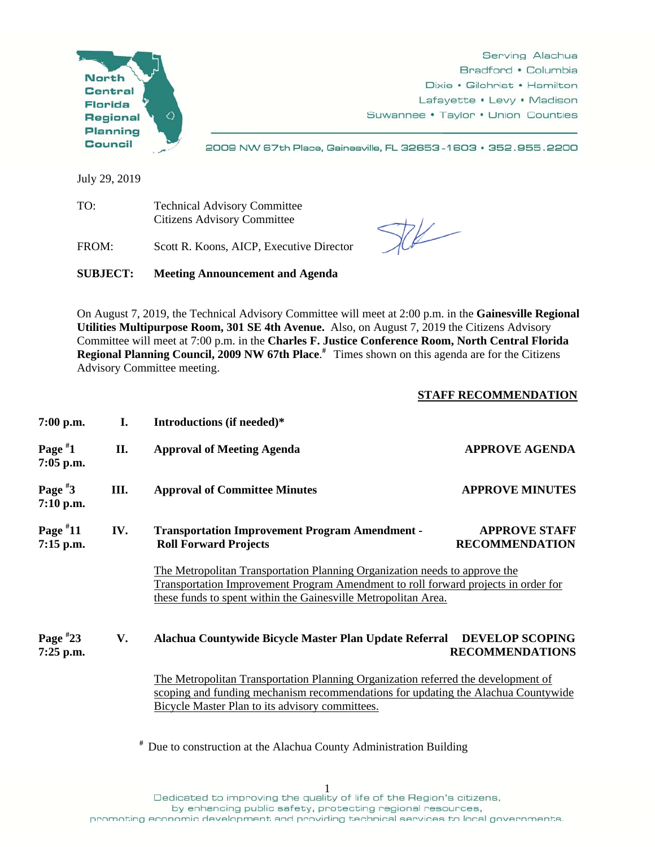

Serving Alachua Bradford • Columbia Dixie • Gilchrist • Hamilton Lafayette • Levy • Madison Suwannee • Taylor • Union Counties

2009 NW 67th Place, Gainesville, FL 32653-1603 • 352.955.2200

July 29, 2019

TO: Technical Advisory Committee Citizens Advisory Committee

FROM: Scott R. Koons, AICP, Executive Director

 $74$ 

**SUBJECT: Meeting Announcement and Agenda** 

On August 7, 2019, the Technical Advisory Committee will meet at 2:00 p.m. in the **Gainesville Regional Utilities Multipurpose Room, 301 SE 4th Avenue.** Also, on August 7, 2019 the Citizens Advisory Committee will meet at 7:00 p.m. in the **Charles F. Justice Conference Room, North Central Florida Regional Planning Council, 2009 NW 67th Place**. **#** Times shown on this agenda are for the Citizens Advisory Committee meeting.

## **STAFF RECOMMENDATION**

| I.  | Introductions (if needed)*                                                                                                                                                                                                         |                                                  |
|-----|------------------------------------------------------------------------------------------------------------------------------------------------------------------------------------------------------------------------------------|--------------------------------------------------|
| II. | <b>Approval of Meeting Agenda</b>                                                                                                                                                                                                  | <b>APPROVE AGENDA</b>                            |
| Ш.  | <b>Approval of Committee Minutes</b>                                                                                                                                                                                               | <b>APPROVE MINUTES</b>                           |
| IV. | <b>Transportation Improvement Program Amendment -</b><br><b>Roll Forward Projects</b>                                                                                                                                              | <b>APPROVE STAFF</b><br><b>RECOMMENDATION</b>    |
|     | The Metropolitan Transportation Planning Organization needs to approve the<br>Transportation Improvement Program Amendment to roll forward projects in order for<br>these funds to spent within the Gainesville Metropolitan Area. |                                                  |
| V.  | Alachua Countywide Bicycle Master Plan Update Referral                                                                                                                                                                             | <b>DEVELOP SCOPING</b><br><b>RECOMMENDATIONS</b> |
|     | The Metropolitan Transportation Planning Organization referred the development of<br>scoping and funding mechanism recommendations for updating the Alachua Countywide<br>Bicycle Master Plan to its advisory committees.          |                                                  |
|     |                                                                                                                                                                                                                                    |                                                  |

**#** Due to construction at the Alachua County Administration Building